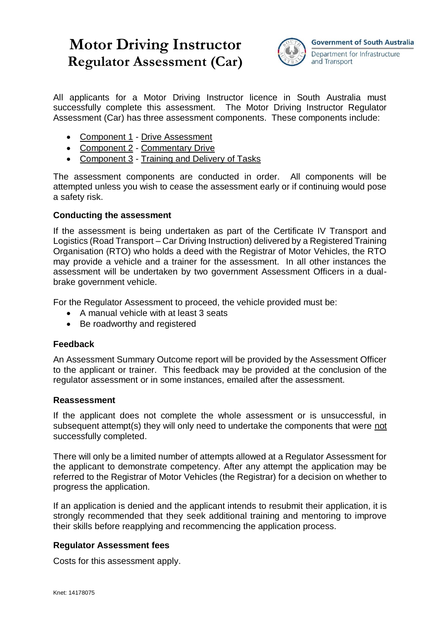# **Motor Driving Instructor Regulator Assessment (Car)**



All applicants for a Motor Driving Instructor licence in South Australia must successfully complete this assessment. The Motor Driving Instructor Regulator Assessment (Car) has three assessment components. These components include:

- Component 1 Drive Assessment
- Component 2 Commentary Drive
- Component 3 Training and Delivery of Tasks

The assessment components are conducted in order. All components will be attempted unless you wish to cease the assessment early or if continuing would pose a safety risk.

## **Conducting the assessment**

If the assessment is being undertaken as part of the Certificate IV Transport and Logistics (Road Transport – Car Driving Instruction) delivered by a Registered Training Organisation (RTO) who holds a deed with the Registrar of Motor Vehicles, the RTO may provide a vehicle and a trainer for the assessment. In all other instances the assessment will be undertaken by two government Assessment Officers in a dualbrake government vehicle.

For the Regulator Assessment to proceed, the vehicle provided must be:

- A manual vehicle with at least 3 seats
- Be roadworthy and registered

## **Feedback**

An Assessment Summary Outcome report will be provided by the Assessment Officer to the applicant or trainer. This feedback may be provided at the conclusion of the regulator assessment or in some instances, emailed after the assessment.

### **Reassessment**

If the applicant does not complete the whole assessment or is unsuccessful, in subsequent attempt(s) they will only need to undertake the components that were not successfully completed.

There will only be a limited number of attempts allowed at a Regulator Assessment for the applicant to demonstrate competency. After any attempt the application may be referred to the Registrar of Motor Vehicles (the Registrar) for a decision on whether to progress the application.

If an application is denied and the applicant intends to resubmit their application, it is strongly recommended that they seek additional training and mentoring to improve their skills before reapplying and recommencing the application process.

### **Regulator Assessment fees**

Costs for this assessment apply.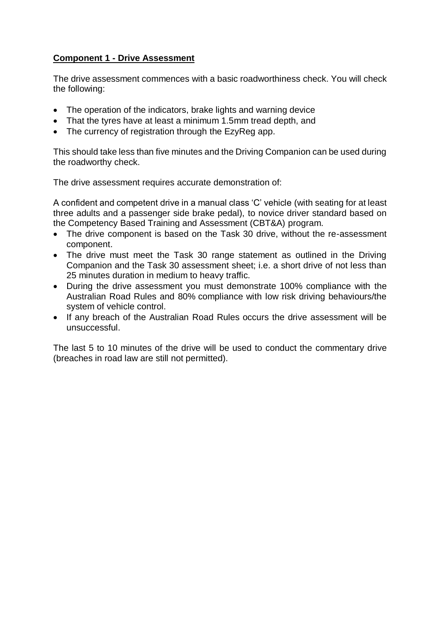## **Component 1 - Drive Assessment**

The drive assessment commences with a basic roadworthiness check. You will check the following:

- The operation of the indicators, brake lights and warning device
- That the tyres have at least a minimum 1.5mm tread depth, and
- The currency of registration through the EzyReg app.

This should take less than five minutes and the Driving Companion can be used during the roadworthy check.

The drive assessment requires accurate demonstration of:

A confident and competent drive in a manual class 'C' vehicle (with seating for at least three adults and a passenger side brake pedal), to novice driver standard based on the Competency Based Training and Assessment (CBT&A) program.

- The drive component is based on the Task 30 drive, without the re-assessment component.
- The drive must meet the Task 30 range statement as outlined in the Driving Companion and the Task 30 assessment sheet; i.e. a short drive of not less than 25 minutes duration in medium to heavy traffic.
- During the drive assessment you must demonstrate 100% compliance with the Australian Road Rules and 80% compliance with low risk driving behaviours/the system of vehicle control.
- If any breach of the Australian Road Rules occurs the drive assessment will be unsuccessful.

The last 5 to 10 minutes of the drive will be used to conduct the commentary drive (breaches in road law are still not permitted).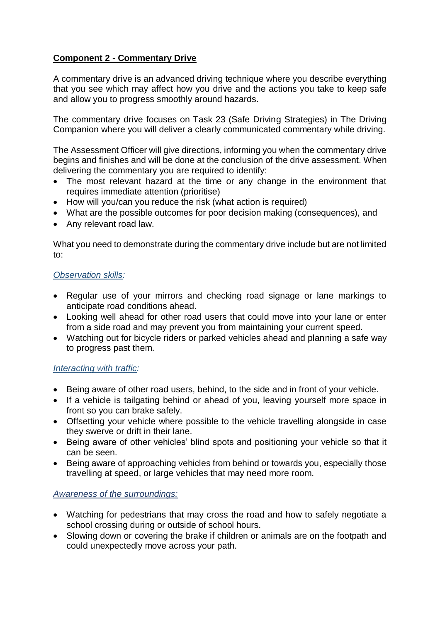## **Component 2 - Commentary Drive**

A commentary drive is an advanced driving technique where you describe everything that you see which may affect how you drive and the actions you take to keep safe and allow you to progress smoothly around hazards.

The commentary drive focuses on Task 23 (Safe Driving Strategies) in The Driving Companion where you will deliver a clearly communicated commentary while driving.

The Assessment Officer will give directions, informing you when the commentary drive begins and finishes and will be done at the conclusion of the drive assessment. When delivering the commentary you are required to identify:

- The most relevant hazard at the time or any change in the environment that requires immediate attention (prioritise)
- How will you/can you reduce the risk (what action is required)
- What are the possible outcomes for poor decision making (consequences), and
- Any relevant road law.

What you need to demonstrate during the commentary drive include but are not limited to:

## *Observation skills:*

- Regular use of your mirrors and checking road signage or lane markings to anticipate road conditions ahead.
- Looking well ahead for other road users that could move into your lane or enter from a side road and may prevent you from maintaining your current speed.
- Watching out for bicycle riders or parked vehicles ahead and planning a safe way to progress past them.

## *Interacting with traffic:*

- Being aware of other road users, behind, to the side and in front of your vehicle.
- If a vehicle is tailgating behind or ahead of you, leaving yourself more space in front so you can brake safely.
- Offsetting your vehicle where possible to the vehicle travelling alongside in case they swerve or drift in their lane.
- Being aware of other vehicles' blind spots and positioning your vehicle so that it can be seen.
- Being aware of approaching vehicles from behind or towards you, especially those travelling at speed, or large vehicles that may need more room.

## *Awareness of the surroundings:*

- Watching for pedestrians that may cross the road and how to safely negotiate a school crossing during or outside of school hours.
- Slowing down or covering the brake if children or animals are on the footpath and could unexpectedly move across your path.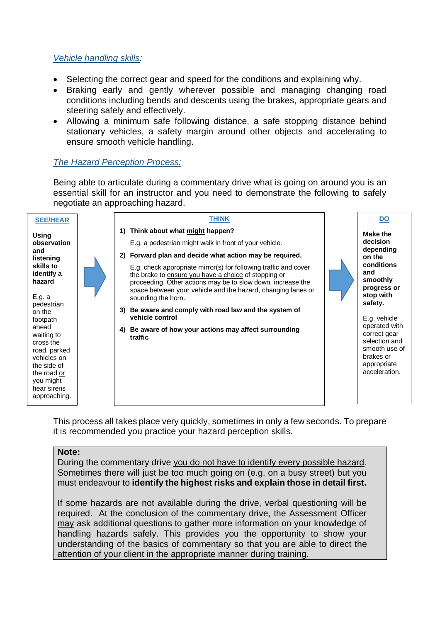## *Vehicle handling skills:*

- Selecting the correct gear and speed for the conditions and explaining why.
- Braking early and gently wherever possible and managing changing road conditions including bends and descents using the brakes, appropriate gears and steering safely and effectively.
- Allowing a minimum safe following distance, a safe stopping distance behind stationary vehicles, a safety margin around other objects and accelerating to ensure smooth vehicle handling.

## *The Hazard Perception Process:*

Being able to articulate during a commentary drive what is going on around you is an essential skill for an instructor and you need to demonstrate the following to safely negotiate an approaching hazard.



This process all takes place very quickly, sometimes in only a few seconds. To prepare it is recommended you practice your hazard perception skills.

### **Note:**

During the commentary drive you do not have to identify every possible hazard. Sometimes there will just be too much going on (e.g. on a busy street) but you must endeavour to **identify the highest risks and explain those in detail first.** 

If some hazards are not available during the drive, verbal questioning will be required. At the conclusion of the commentary drive, the Assessment Officer may ask additional questions to gather more information on your knowledge of handling hazards safely. This provides you the opportunity to show your understanding of the basics of commentary so that you are able to direct the attention of your client in the appropriate manner during training.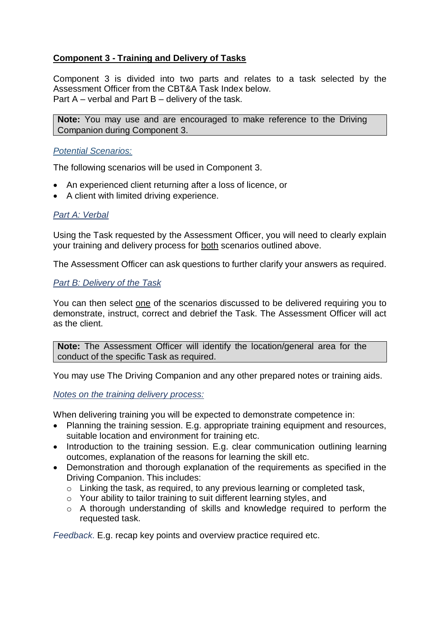## **Component 3 - Training and Delivery of Tasks**

Component 3 is divided into two parts and relates to a task selected by the Assessment Officer from the CBT&A Task Index below. Part A – verbal and Part B – delivery of the task.

**Note:** You may use and are encouraged to make reference to the Driving Companion during Component 3.

## *Potential Scenarios:*

The following scenarios will be used in Component 3.

- An experienced client returning after a loss of licence, or
- A client with limited driving experience.

## *Part A: Verbal*

Using the Task requested by the Assessment Officer, you will need to clearly explain your training and delivery process for both scenarios outlined above.

The Assessment Officer can ask questions to further clarify your answers as required.

## *Part B: Delivery of the Task*

You can then select one of the scenarios discussed to be delivered requiring you to demonstrate, instruct, correct and debrief the Task. The Assessment Officer will act as the client.

**Note:** The Assessment Officer will identify the location/general area for the conduct of the specific Task as required.

You may use The Driving Companion and any other prepared notes or training aids.

## *Notes on the training delivery process:*

When delivering training you will be expected to demonstrate competence in:

- Planning the training session. E.g. appropriate training equipment and resources, suitable location and environment for training etc.
- Introduction to the training session. E.g. clear communication outlining learning outcomes, explanation of the reasons for learning the skill etc.
- Demonstration and thorough explanation of the requirements as specified in the Driving Companion. This includes:
	- o Linking the task, as required, to any previous learning or completed task,
	- o Your ability to tailor training to suit different learning styles, and
	- o A thorough understanding of skills and knowledge required to perform the requested task.

*Feedback*. E.g. recap key points and overview practice required etc.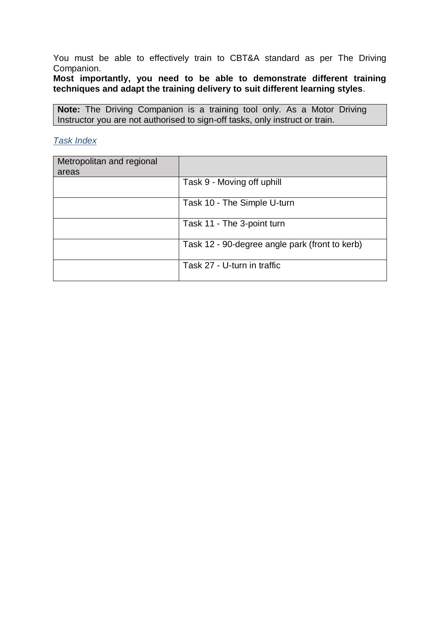You must be able to effectively train to CBT&A standard as per The Driving Companion.

## **Most importantly, you need to be able to demonstrate different training techniques and adapt the training delivery to suit different learning styles**.

**Note:** The Driving Companion is a training tool only. As a Motor Driving Instructor you are not authorised to sign-off tasks, only instruct or train.

## *Task Index*

| Metropolitan and regional |                                                |
|---------------------------|------------------------------------------------|
| areas                     |                                                |
|                           | Task 9 - Moving off uphill                     |
|                           | Task 10 - The Simple U-turn                    |
|                           | Task 11 - The 3-point turn                     |
|                           | Task 12 - 90-degree angle park (front to kerb) |
|                           | Task 27 - U-turn in traffic                    |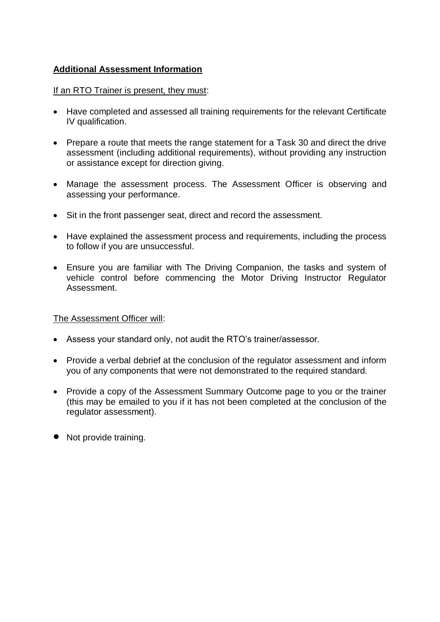## **Additional Assessment Information**

## If an RTO Trainer is present, they must:

- Have completed and assessed all training requirements for the relevant Certificate IV qualification.
- Prepare a route that meets the range statement for a Task 30 and direct the drive assessment (including additional requirements), without providing any instruction or assistance except for direction giving.
- Manage the assessment process. The Assessment Officer is observing and assessing your performance.
- Sit in the front passenger seat, direct and record the assessment.
- Have explained the assessment process and requirements, including the process to follow if you are unsuccessful.
- Ensure you are familiar with The Driving Companion, the tasks and system of vehicle control before commencing the Motor Driving Instructor Regulator Assessment.

## The Assessment Officer will:

- Assess your standard only, not audit the RTO's trainer/assessor.
- Provide a verbal debrief at the conclusion of the regulator assessment and inform you of any components that were not demonstrated to the required standard.
- Provide a copy of the Assessment Summary Outcome page to you or the trainer (this may be emailed to you if it has not been completed at the conclusion of the regulator assessment).
- Not provide training.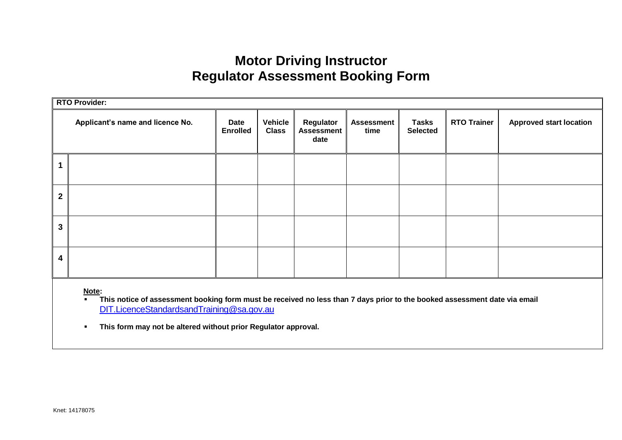# **Motor Driving Instructor Regulator Assessment Booking Form**

|                | <b>RTO Provider:</b>             |                         |                                |                                        |                           |                                 |                    |                                |
|----------------|----------------------------------|-------------------------|--------------------------------|----------------------------------------|---------------------------|---------------------------------|--------------------|--------------------------------|
|                | Applicant's name and licence No. | Date<br><b>Enrolled</b> | <b>Vehicle</b><br><b>Class</b> | Regulator<br><b>Assessment</b><br>date | <b>Assessment</b><br>time | <b>Tasks</b><br><b>Selected</b> | <b>RTO Trainer</b> | <b>Approved start location</b> |
|                |                                  |                         |                                |                                        |                           |                                 |                    |                                |
| $\overline{2}$ |                                  |                         |                                |                                        |                           |                                 |                    |                                |
| 3              |                                  |                         |                                |                                        |                           |                                 |                    |                                |
| 4              |                                  |                         |                                |                                        |                           |                                 |                    |                                |

 **Note:**

**This notice of assessment booking form must be received no less than 7 days prior to the booked assessment date via email** [DIT.LicenceStandardsandTraining@sa.gov.au](mailto:DPTI.LicenceStandardsandTraining@sa.gov.au)

**This form may not be altered without prior Regulator approval.**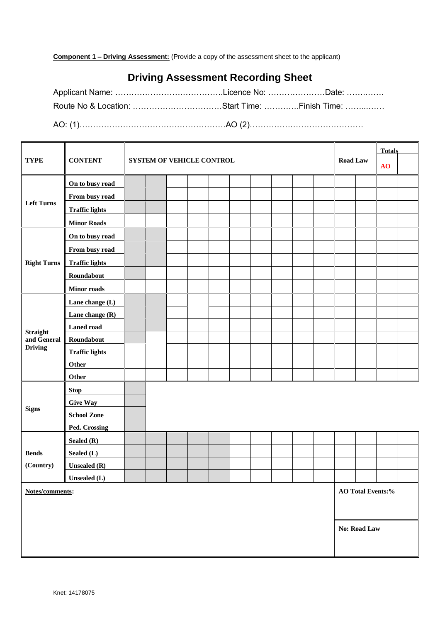**Component 1 – Driving Assessment:** (Provide a copy of the assessment sheet to the applicant)

## **Driving Assessment Recording Sheet**

Applicant Name: ………………………………………Licence No: …………………………… Date: …………… Route No & Location: …………………………………Start Time: ………….Finish Time: …………… AO: (1)………………………………………………AO (2)……………………………………

|                    |                       |  |                           |  |  |  |  | <b>Totals</b> |  |  |  |                 |                          |    |  |
|--------------------|-----------------------|--|---------------------------|--|--|--|--|---------------|--|--|--|-----------------|--------------------------|----|--|
| <b>TYPE</b>        | <b>CONTENT</b>        |  | SYSTEM OF VEHICLE CONTROL |  |  |  |  |               |  |  |  | <b>Road Law</b> |                          | AO |  |
|                    | On to busy road       |  |                           |  |  |  |  |               |  |  |  |                 |                          |    |  |
|                    | From busy road        |  |                           |  |  |  |  |               |  |  |  |                 |                          |    |  |
| <b>Left Turns</b>  | <b>Traffic lights</b> |  |                           |  |  |  |  |               |  |  |  |                 |                          |    |  |
|                    | <b>Minor Roads</b>    |  |                           |  |  |  |  |               |  |  |  |                 |                          |    |  |
|                    | On to busy road       |  |                           |  |  |  |  |               |  |  |  |                 |                          |    |  |
|                    | From busy road        |  |                           |  |  |  |  |               |  |  |  |                 |                          |    |  |
| <b>Right Turns</b> | <b>Traffic lights</b> |  |                           |  |  |  |  |               |  |  |  |                 |                          |    |  |
|                    | Roundabout            |  |                           |  |  |  |  |               |  |  |  |                 |                          |    |  |
|                    | <b>Minor roads</b>    |  |                           |  |  |  |  |               |  |  |  |                 |                          |    |  |
|                    | Lane change (L)       |  |                           |  |  |  |  |               |  |  |  |                 |                          |    |  |
|                    | Lane change (R)       |  |                           |  |  |  |  |               |  |  |  |                 |                          |    |  |
| <b>Straight</b>    | <b>Laned road</b>     |  |                           |  |  |  |  |               |  |  |  |                 |                          |    |  |
| and General        | Roundabout            |  |                           |  |  |  |  |               |  |  |  |                 |                          |    |  |
| <b>Driving</b>     | <b>Traffic lights</b> |  |                           |  |  |  |  |               |  |  |  |                 |                          |    |  |
|                    | Other                 |  |                           |  |  |  |  |               |  |  |  |                 |                          |    |  |
|                    | Other                 |  |                           |  |  |  |  |               |  |  |  |                 |                          |    |  |
|                    | <b>Stop</b>           |  |                           |  |  |  |  |               |  |  |  |                 |                          |    |  |
| <b>Signs</b>       | <b>Give Way</b>       |  |                           |  |  |  |  |               |  |  |  |                 |                          |    |  |
|                    | <b>School Zone</b>    |  |                           |  |  |  |  |               |  |  |  |                 |                          |    |  |
|                    | Ped. Crossing         |  |                           |  |  |  |  |               |  |  |  |                 |                          |    |  |
|                    | Sealed (R)            |  |                           |  |  |  |  |               |  |  |  |                 |                          |    |  |
| <b>Bends</b>       | Sealed (L)            |  |                           |  |  |  |  |               |  |  |  |                 |                          |    |  |
| (Country)          | <b>Unsealed</b> (R)   |  |                           |  |  |  |  |               |  |  |  |                 |                          |    |  |
|                    | Unsealed (L)          |  |                           |  |  |  |  |               |  |  |  |                 |                          |    |  |
| Notes/comments:    |                       |  |                           |  |  |  |  |               |  |  |  |                 | <b>AO Total Events:%</b> |    |  |
|                    |                       |  |                           |  |  |  |  |               |  |  |  |                 |                          |    |  |
|                    |                       |  |                           |  |  |  |  |               |  |  |  |                 | No: Road Law             |    |  |
|                    |                       |  |                           |  |  |  |  |               |  |  |  |                 |                          |    |  |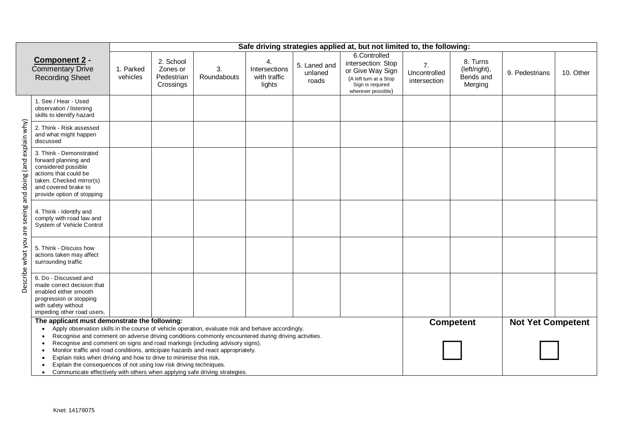|                                                          |                                                                                                                                                                                                                                                                                                                                                                                                                                                                                                                                                                                                                                                          |                       |                                                  |                   |                                               |                                  | Safe driving strategies applied at, but not limited to, the following:                                                     |                                                |                                                   |                          |           |
|----------------------------------------------------------|----------------------------------------------------------------------------------------------------------------------------------------------------------------------------------------------------------------------------------------------------------------------------------------------------------------------------------------------------------------------------------------------------------------------------------------------------------------------------------------------------------------------------------------------------------------------------------------------------------------------------------------------------------|-----------------------|--------------------------------------------------|-------------------|-----------------------------------------------|----------------------------------|----------------------------------------------------------------------------------------------------------------------------|------------------------------------------------|---------------------------------------------------|--------------------------|-----------|
|                                                          | Component 2 -<br><b>Commentary Drive</b><br><b>Recording Sheet</b>                                                                                                                                                                                                                                                                                                                                                                                                                                                                                                                                                                                       | 1. Parked<br>vehicles | 2. School<br>Zones or<br>Pedestrian<br>Crossings | 3.<br>Roundabouts | 4.<br>Intersections<br>with traffic<br>lights | 5. Laned and<br>unlaned<br>roads | 6.Controlled<br>intersection: Stop<br>or Give Way Sign<br>(A left turn at a Stop<br>Sign is required<br>wherever possible) | 7 <sub>1</sub><br>Uncontrolled<br>intersection | 8. Turns<br>(left/right),<br>Bends and<br>Merging | 9. Pedestrians           | 10. Other |
|                                                          | 1. See / Hear - Used<br>observation / listening<br>skills to identify hazard                                                                                                                                                                                                                                                                                                                                                                                                                                                                                                                                                                             |                       |                                                  |                   |                                               |                                  |                                                                                                                            |                                                |                                                   |                          |           |
|                                                          | 2. Think - Risk assessed<br>and what might happen<br>discussed                                                                                                                                                                                                                                                                                                                                                                                                                                                                                                                                                                                           |                       |                                                  |                   |                                               |                                  |                                                                                                                            |                                                |                                                   |                          |           |
| Describe what you are seeing and doing (and explain why) | 3. Think - Demonstrated<br>forward planning and<br>considered possible<br>actions that could be<br>taken. Checked mirror(s)<br>and covered brake to<br>provide option of stopping                                                                                                                                                                                                                                                                                                                                                                                                                                                                        |                       |                                                  |                   |                                               |                                  |                                                                                                                            |                                                |                                                   |                          |           |
|                                                          | 4. Think - Identify and<br>comply with road law and<br>System of Vehicle Control                                                                                                                                                                                                                                                                                                                                                                                                                                                                                                                                                                         |                       |                                                  |                   |                                               |                                  |                                                                                                                            |                                                |                                                   |                          |           |
|                                                          | 5. Think - Discuss how<br>actions taken may affect<br>surrounding traffic                                                                                                                                                                                                                                                                                                                                                                                                                                                                                                                                                                                |                       |                                                  |                   |                                               |                                  |                                                                                                                            |                                                |                                                   |                          |           |
|                                                          | 6. Do - Discussed and<br>made correct decision that<br>enabled either smooth<br>progression or stopping<br>with safety without<br>impeding other road users.                                                                                                                                                                                                                                                                                                                                                                                                                                                                                             |                       |                                                  |                   |                                               |                                  |                                                                                                                            |                                                |                                                   |                          |           |
|                                                          | The applicant must demonstrate the following:<br>Apply observation skills in the course of vehicle operation, evaluate risk and behave accordingly.<br>Recognise and comment on adverse driving conditions commonly encountered during driving activities.<br>Recognise and comment on signs and road markings (including advisory signs).<br>Monitor traffic and road conditions, anticipate hazards and react appropriately.<br>Explain risks when driving and how to drive to minimise this risk.<br>Explain the consequences of not using low risk driving techniques.<br>Communicate effectively with others when applying safe driving strategies. |                       |                                                  |                   |                                               |                                  |                                                                                                                            |                                                | <b>Competent</b>                                  | <b>Not Yet Competent</b> |           |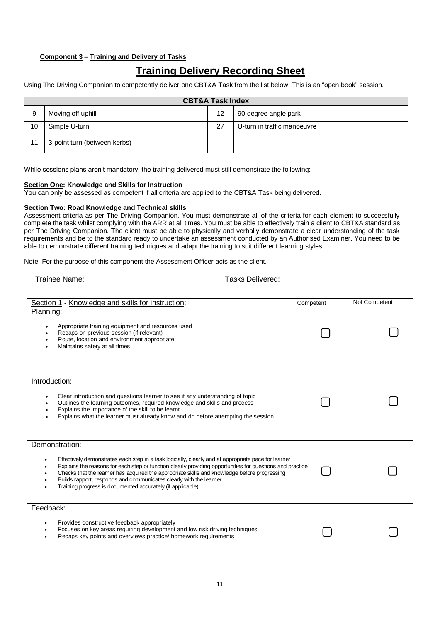### **Component 3 – Training and Delivery of Tasks**

## **Training Delivery Recording Sheet**

Using The Driving Companion to competently deliver one CBT&A Task from the list below. This is an "open book" session.

|    |                              | <b>CBT&amp;A Task Index</b> |                             |
|----|------------------------------|-----------------------------|-----------------------------|
| 9  | Moving off uphill            | 12                          | 90 degree angle park        |
| 10 | Simple U-turn                | 27                          | U-turn in traffic manoeuvre |
| 11 | 3-point turn (between kerbs) |                             |                             |

While sessions plans aren't mandatory, the training delivered must still demonstrate the following:

#### **Section One: Knowledge and Skills for Instruction**

You can only be assessed as competent if all criteria are applied to the CBT&A Task being delivered.

### **Section Two: Road Knowledge and Technical skills**

Assessment criteria as per The Driving Companion. You must demonstrate all of the criteria for each element to successfully complete the task whilst complying with the ARR at all times. You must be able to effectively train a client to CBT&A standard as per The Driving Companion. The client must be able to physically and verbally demonstrate a clear understanding of the task requirements and be to the standard ready to undertake an assessment conducted by an Authorised Examiner. You need to be able to demonstrate different training techniques and adapt the training to suit different learning styles.

Note: For the purpose of this component the Assessment Officer acts as the client.

| Trainee Name:                           |                                                                                                                                                                                                                                                                                                                                                                                                                                                      | <b>Tasks Delivered:</b> |           |               |
|-----------------------------------------|------------------------------------------------------------------------------------------------------------------------------------------------------------------------------------------------------------------------------------------------------------------------------------------------------------------------------------------------------------------------------------------------------------------------------------------------------|-------------------------|-----------|---------------|
| Planning:                               | Section 1 - Knowledge and skills for instruction:<br>Appropriate training equipment and resources used<br>Recaps on previous session (if relevant)<br>Route, location and environment appropriate<br>Maintains safety at all times                                                                                                                                                                                                                   |                         | Competent | Not Competent |
| Introduction:<br>$\bullet$<br>$\bullet$ | Clear introduction and questions learner to see if any understanding of topic<br>Outlines the learning outcomes, required knowledge and skills and process<br>Explains the importance of the skill to be learnt<br>Explains what the learner must already know and do before attempting the session                                                                                                                                                  |                         |           |               |
| Demonstration:<br>٠<br>٠                | Effectively demonstrates each step in a task logically, clearly and at appropriate pace for learner<br>Explains the reasons for each step or function clearly providing opportunities for questions and practice<br>Checks that the learner has acquired the appropriate skills and knowledge before progressing<br>Builds rapport, responds and communicates clearly with the learner<br>Training progress is documented accurately (if applicable) |                         |           |               |
| Feedback:<br>$\bullet$<br>$\bullet$     | Provides constructive feedback appropriately<br>Focuses on key areas requiring development and low risk driving techniques<br>Recaps key points and overviews practice/ homework requirements                                                                                                                                                                                                                                                        |                         |           |               |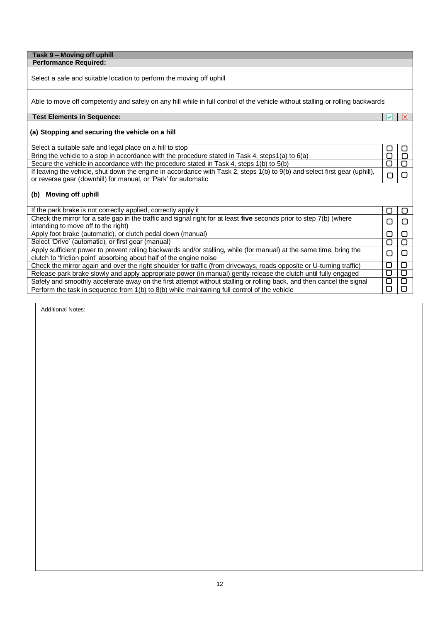#### **Task 9 – Moving off uphill Performance Required:**

Select a safe and suitable location to perform the moving off uphill

Able to move off competently and safely on any hill while in full control of the vehicle without stalling or rolling backwards

### **Test Elements in Sequence:**

### **(a) Stopping and securing the vehicle on a hill**

| Select a suitable safe and legal place on a hill to stop                                                                   |  |
|----------------------------------------------------------------------------------------------------------------------------|--|
| Bring the vehicle to a stop in accordance with the procedure stated in Task 4, steps1(a) to 6(a)                           |  |
| Secure the vehicle in accordance with the procedure stated in Task 4, steps 1(b) to 5(b)                                   |  |
| If leaving the vehicle, shut down the engine in accordance with Task 2, steps 1(b) to 9(b) and select first gear (uphill), |  |
| or reverse gear (downhill) for manual, or 'Park' for automatic                                                             |  |
| (b) Moving off uphill                                                                                                      |  |
| If the park brake is not correctly applied, correctly apply it                                                             |  |

 $\overline{\mathbf{x}}$  $\overline{\mathbf{v}}$ 

 $\Box$ 

 $\begin{array}{|c|} \hline \textbf{O} \\ \hline \textbf{O} \end{array}$ 

 $\Box$ 

 $\Box$ 

 $\Box$ 

 $\overline{\mathsf{C}}$ 

 $\Box$ 

| If the park brake is not correctly applied, correctly apply it<br>▢<br>Check the mirror for a safe gap in the traffic and signal right for at least five seconds prior to step 7(b) (where<br>П<br>intending to move off to the right)<br>Apply foot brake (automatic), or clutch pedal down (manual)<br>n<br>Select 'Drive' (automatic), or first gear (manual) |
|------------------------------------------------------------------------------------------------------------------------------------------------------------------------------------------------------------------------------------------------------------------------------------------------------------------------------------------------------------------|
|                                                                                                                                                                                                                                                                                                                                                                  |
|                                                                                                                                                                                                                                                                                                                                                                  |
|                                                                                                                                                                                                                                                                                                                                                                  |
|                                                                                                                                                                                                                                                                                                                                                                  |
|                                                                                                                                                                                                                                                                                                                                                                  |
| Apply sufficient power to prevent rolling backwards and/or stalling, while (for manual) at the same time, bring the<br>□                                                                                                                                                                                                                                         |
| clutch to 'friction point' absorbing about half of the engine noise                                                                                                                                                                                                                                                                                              |
| П<br>Check the mirror again and over the right shoulder for traffic (from driveways, roads opposite or U-turning traffic)                                                                                                                                                                                                                                        |
| п<br>Release park brake slowly and apply appropriate power (in manual) gently release the clutch until fully engaged                                                                                                                                                                                                                                             |
| ∩<br>Safely and smoothly accelerate away on the first attempt without stalling or rolling back, and then cancel the signal                                                                                                                                                                                                                                       |
| 0.<br>Perform the task in sequence from 1(b) to 8(b) while maintaining full control of the vehicle                                                                                                                                                                                                                                                               |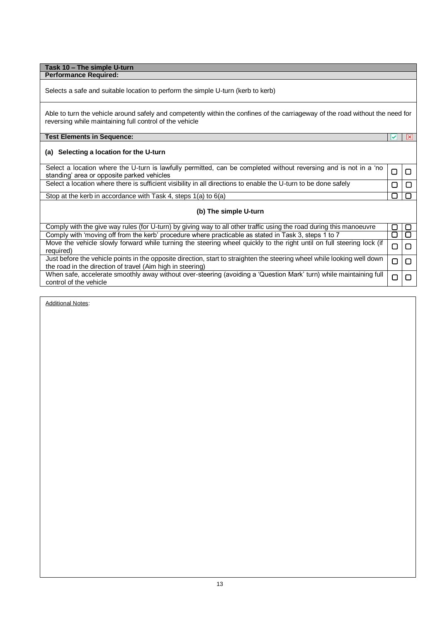| Task 10 - The simple U-turn                                                                                                                                                               |              |                         |
|-------------------------------------------------------------------------------------------------------------------------------------------------------------------------------------------|--------------|-------------------------|
| <b>Performance Required:</b>                                                                                                                                                              |              |                         |
| Selects a safe and suitable location to perform the simple U-turn (kerb to kerb)                                                                                                          |              |                         |
| Able to turn the vehicle around safely and competently within the confines of the carriageway of the road without the need for<br>reversing while maintaining full control of the vehicle |              |                         |
| <b>Test Elements in Sequence:</b>                                                                                                                                                         | $\checkmark$ | $\vert x \vert$         |
| (a) Selecting a location for the U-turn                                                                                                                                                   |              |                         |
| Select a location where the U-turn is lawfully permitted, can be completed without reversing and is not in a 'no<br>standing' area or opposite parked vehicles                            | О            | 0                       |
| Select a location where there is sufficient visibility in all directions to enable the U-turn to be done safely                                                                           | ∩            | ∩                       |
| Stop at the kerb in accordance with Task 4, steps 1(a) to 6(a)                                                                                                                            | □            | □                       |
| (b) The simple U-turn                                                                                                                                                                     |              |                         |
| Comply with the give way rules (for U-turn) by giving way to all other traffic using the road during this manoeuvre                                                                       | $\Box$       | O                       |
| Comply with 'moving off from the kerb' procedure where practicable as stated in Task 3, steps 1 to 7                                                                                      | ◘            | $\overline{\mathsf{C}}$ |
| Move the vehicle slowly forward while turning the steering wheel quickly to the right until on full steering lock (if<br>required)                                                        | О            | ▢                       |
| Just before the vehicle points in the opposite direction, start to straighten the steering wheel while looking well down<br>the road in the direction of travel (Aim high in steering)    | □            | □                       |
| When safe, accelerate smoothly away without over-steering (avoiding a 'Question Mark' turn) while maintaining full<br>control of the vehicle                                              | □            | $\Box$                  |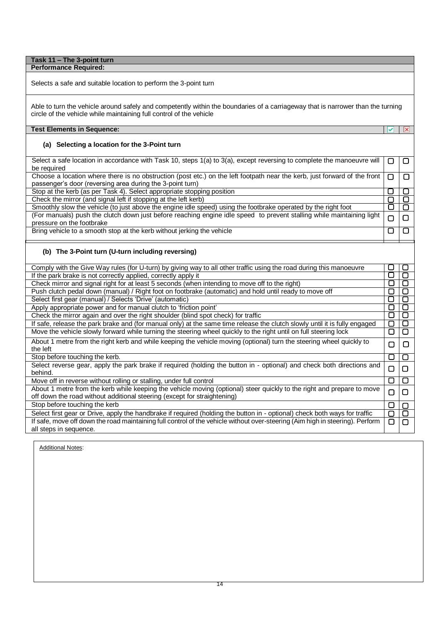#### **Task 11 – The 3-point turn Performance Required:**

Selects a safe and suitable location to perform the 3-point turn

Able to turn the vehicle around safely and competently within the boundaries of a carriageway that is narrower than the turning circle of the vehicle while maintaining full control of the vehicle

**V** X

 $\overline{\square}$ 

 $\overline{\mathsf{d}}$ 

Ο  $\overline{\square}$  $\Box$ 

 $\Box$ 

 $\overline{\Box}$ 

 $\overline{\square}$ 

 $\Box$ 

 $\overline{\mathbf{C}}$ 

### **Test Elements in Sequence:**

### **(a) Selecting a location for the 3-Point turn**

Select a safe location in accordance with Task 10, steps 1(a) to 3(a), except reversing to complete the manoeuvre will  $\overline{\square}$  $\overline{\square}$ be required  $\overline{\square}$  $\overline{\square}$ 

Choose a location where there is no obstruction (post etc.) on the left footpath near the kerb, just forward of the front passenger's door (reversing area during the 3-point turn)

Stop at the kerb (as per Task 4). Select appropriate stopping position

Check the mirror (and signal left if stopping at the left kerb)

Smoothly slow the vehicle (to just above the engine idle speed) using the footbrake operated by the right foot (For manuals) push the clutch down just before reaching engine idle speed to prevent stalling while maintaining light pressure on the footbrake

Bring vehicle to a smooth stop at the kerb without jerking the vehicle

### **(b) The 3-Point turn (U-turn including reversing)**

| Comply with the Give Way rules (for U-turn) by giving way to all other traffic using the road during this manoeuvre           | $\overline{\phantom{a}}$ | ┎      |
|-------------------------------------------------------------------------------------------------------------------------------|--------------------------|--------|
| If the park brake is not correctly applied, correctly apply it                                                                | ⊔                        |        |
| Check mirror and signal right for at least 5 seconds (when intending to move off to the right)                                | □                        | О      |
| Push clutch pedal down (manual) / Right foot on footbrake (automatic) and hold until ready to move off                        | ⊓                        |        |
| Select first gear (manual) / Selects 'Drive' (automatic)                                                                      | ⊔                        | □      |
| Apply appropriate power and for manual clutch to 'friction point'                                                             | □                        | $\Box$ |
| Check the mirror again and over the right shoulder (blind spot check) for traffic                                             | ⊔                        | □      |
| If safe, release the park brake and (for manual only) at the same time release the clutch slowly until it is fully engaged    | О                        |        |
| Move the vehicle slowly forward while turning the steering wheel quickly to the right until on full steering lock             | □                        | О      |
| About 1 metre from the right kerb and while keeping the vehicle moving (optional) turn the steering wheel quickly to          | ⊓                        | O      |
| the left                                                                                                                      |                          |        |
| Stop before touching the kerb.                                                                                                | □                        | $\Box$ |
| Select reverse gear, apply the park brake if required (holding the button in - optional) and check both directions and        | ▢                        | $\Box$ |
| behind.                                                                                                                       |                          |        |
| Move off in reverse without rolling or stalling, under full control                                                           | □                        | $\Box$ |
| About 1 metre from the kerb while keeping the vehicle moving (optional) steer quickly to the right and prepare to move        | □                        | $\Box$ |
| off down the road without additional steering (except for straightening)                                                      |                          |        |
| Stop before touching the kerb                                                                                                 | □                        | О      |
| Select first gear or Drive, apply the handbrake if required (holding the button in - optional) check both ways for traffic    | О                        | О      |
| If safe, move off down the road maintaining full control of the vehicle without over-steering (Aim high in steering). Perform | ∩                        | ∩      |
| all steps in sequence.                                                                                                        |                          |        |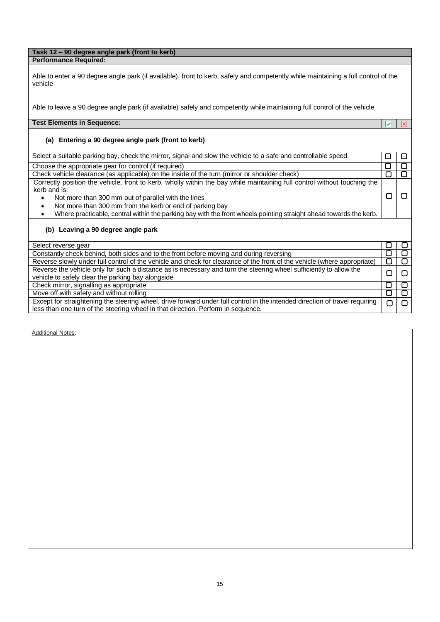### **Task 12 – 90 degree angle park (front to kerb) Performance Required:**

Able to enter a 90 degree angle park (if available), front to kerb, safely and competently while maintaining a full control of the vehicle

 $\overline{\mathbf{x}}$ 

 $\overline{\mathbf{v}}$ 

Able to leave a 90 degree angle park (if available) safely and competently while maintaining full control of the vehicle

### **Test Elements in Sequence:**

### **(a) Entering a 90 degree angle park (front to kerb)**

| Select a suitable parking bay, check the mirror, signal and slow the vehicle to a safe and controllable speed.                 |        |        |
|--------------------------------------------------------------------------------------------------------------------------------|--------|--------|
| Choose the appropriate gear for control (if required)                                                                          | L.     |        |
| Check vehicle clearance (as applicable) on the inside of the turn (mirror or shoulder check)                                   | □      |        |
| Correctly position the vehicle, front to kerb, wholly within the bay while maintaining full control without touching the       |        |        |
| kerb and is:                                                                                                                   |        |        |
| Not more than 300 mm out of parallel with the lines<br>$\bullet$                                                               | П      |        |
| Not more than 300 mm from the kerb or end of parking bay<br>$\bullet$                                                          |        |        |
| Where practicable, central within the parking bay with the front wheels pointing straight ahead towards the kerb.<br>$\bullet$ |        |        |
| (b) Leaving a 90 degree angle park                                                                                             |        |        |
| Select reverse gear                                                                                                            |        |        |
| Constantly check behind, both sides and to the front before moving and during reversing                                        | ப      |        |
| Reverse slowly under full control of the vehicle and check for clearance of the front of the vehicle (where appropriate)       | □      | □      |
| Reverse the vehicle only for such a distance as is necessary and turn the steering wheel sufficiently to allow the             | □      | $\Box$ |
| vehicle to safely clear the parking bay alongside                                                                              |        |        |
| Check mirror, signalling as appropriate                                                                                        | U      | U      |
| Move off with safety and without rolling                                                                                       | □      | □      |
| Except for straightening the steering wheel, drive forward under full control in the intended direction of travel requiring    | $\Box$ | П      |
| less than one turn of the steering wheel in that direction. Perform in sequence.                                               |        |        |